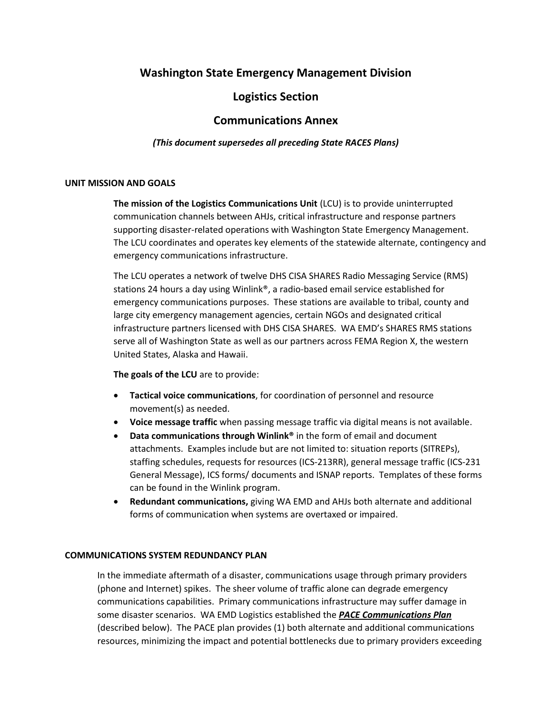# **Washington State Emergency Management Division**

## **Logistics Section**

## **Communications Annex**

### *(This document supersedes all preceding State RACES Plans)*

### **UNIT MISSION AND GOALS**

**The mission of the Logistics Communications Unit** (LCU) is to provide uninterrupted communication channels between AHJs, critical infrastructure and response partners supporting disaster-related operations with Washington State Emergency Management. The LCU coordinates and operates key elements of the statewide alternate, contingency and emergency communications infrastructure.

The LCU operates a network of twelve DHS CISA SHARES Radio Messaging Service (RMS) stations 24 hours a day using Winlink®, a radio-based email service established for emergency communications purposes. These stations are available to tribal, county and large city emergency management agencies, certain NGOs and designated critical infrastructure partners licensed with DHS CISA SHARES. WA EMD's SHARES RMS stations serve all of Washington State as well as our partners across FEMA Region X, the western United States, Alaska and Hawaii.

**The goals of the LCU** are to provide:

- **Tactical voice communications**, for coordination of personnel and resource movement(s) as needed.
- **Voice message traffic** when passing message traffic via digital means is not available.
- **Data communications through Winlink®** in the form of email and document attachments. Examples include but are not limited to: situation reports (SITREPs), staffing schedules, requests for resources (ICS-213RR), general message traffic (ICS-231 General Message), ICS forms/ documents and ISNAP reports. Templates of these forms can be found in the Winlink program.
- **Redundant communications,** giving WA EMD and AHJs both alternate and additional forms of communication when systems are overtaxed or impaired.

### **COMMUNICATIONS SYSTEM REDUNDANCY PLAN**

In the immediate aftermath of a disaster, communications usage through primary providers (phone and Internet) spikes. The sheer volume of traffic alone can degrade emergency communications capabilities. Primary communications infrastructure may suffer damage in some disaster scenarios. WA EMD Logistics established the *PACE Communications Plan* (described below). The PACE plan provides (1) both alternate and additional communications resources, minimizing the impact and potential bottlenecks due to primary providers exceeding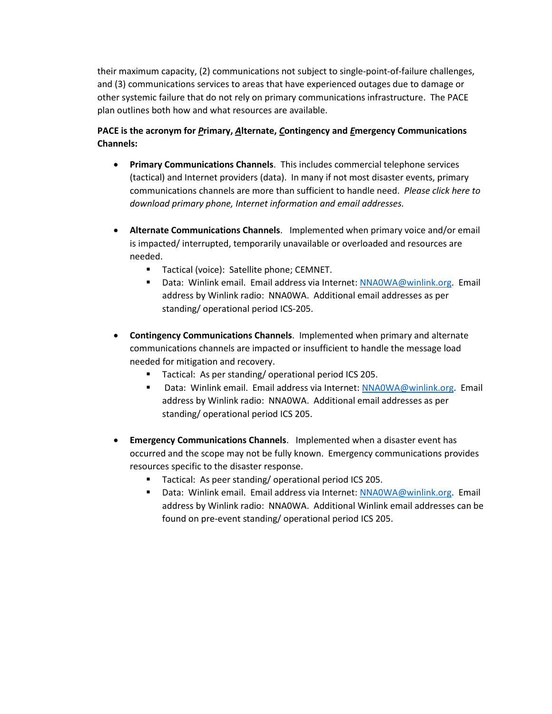their maximum capacity, (2) communications not subject to single-point-of-failure challenges, and (3) communications services to areas that have experienced outages due to damage or other systemic failure that do not rely on primary communications infrastructure. The PACE plan outlines both how and what resources are available.

### **PACE is the acronym for** *P***rimary,** *A***lternate,** *C***ontingency and** *E***mergency Communications Channels:**

- **Primary Communications Channels**. This includes commercial telephone services (tactical) and Internet providers (data). In many if not most disaster events, primary communications channels are more than sufficient to handle need. *Please click here to download primary phone, Internet information and email addresses.*
- **Alternate Communications Channels**. Implemented when primary voice and/or email is impacted/ interrupted, temporarily unavailable or overloaded and resources are needed.
	- Tactical (voice): Satellite phone; CEMNET.
	- Data: Winlink email. Email address via Internet: NNA0WA@winlink.org. Email address by Winlink radio: NNA0WA. Additional email addresses as per standing/ operational period ICS-205.
- **Contingency Communications Channels**. Implemented when primary and alternate communications channels are impacted or insufficient to handle the message load needed for mitigation and recovery.
	- Tactical: As per standing/operational period ICS 205.
	- Data: Winlink email. Email address via Internet: NNA0WA@winlink.org. Email address by Winlink radio: NNA0WA. Additional email addresses as per standing/ operational period ICS 205.
- **Emergency Communications Channels**. Implemented when a disaster event has occurred and the scope may not be fully known. Emergency communications provides resources specific to the disaster response.
	- Tactical: As peer standing/ operational period ICS 205.
	- Data: Winlink email. Email address via Internet: NNA0WA@winlink.org. Email address by Winlink radio: NNA0WA. Additional Winlink email addresses can be found on pre-event standing/ operational period ICS 205.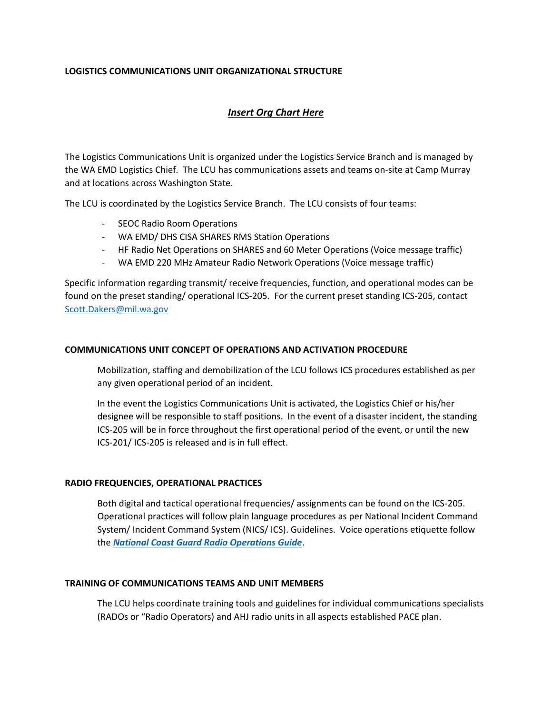### **LOGISTICS COMMUNICATIONS UNIT ORGANIZATIONAL STRUCTURE**

### *Insert Org Chart Here*

The Logistics Communications Unit is organized under the Logistics Service Branch and is managed by the WA EMD Logistics Chief. The LCU has communications assets and teams on-site at Camp Murray and at locations across Washington State.

The LCU is coordinated by the Logistics Service Branch. The LCU consists of four teams:

- SEOC Radio Room Operations
- WA EMD/ DHS CISA SHARES RMS Station Operations
- HF Radio Net Operations on SHARES and 60 Meter Operations (Voice message traffic)
- WA EMD 220 MHz Amateur Radio Network Operations (Voice message traffic)

Specific information regarding transmit/ receive frequencies, function, and operational modes can be found on the preset standing/ operational ICS-205. For the current preset standing ICS-205, contact Scott.Dakers@mil.wa.gov

### **COMMUNICATIONS UNIT CONCEPT OF OPERATIONS AND ACTIVATION PROCEDURE**

Mobilization, staffing and demobilization of the LCU follows ICS procedures established as per any given operational period of an incident.

In the event the Logistics Communications Unit is activated, the Logistics Chief or his/her designee will be responsible to staff positions. In the event of a disaster incident, the standing ICS-205 will be in force throughout the first operational period of the event, or until the new ICS-201/ ICS-205 is released and is in full effect.

### **RADIO FREQUENCIES, OPERATIONAL PRACTICES**

Both digital and tactical operational frequencies/ assignments can be found on the ICS-205. Operational practices will follow plain language procedures as per National Incident Command System/ Incident Command System (NICS/ ICS). Guidelines. Voice operations etiquette follow the *National Coast Guard Radio Operations Guide*.

### **TRAINING OF COMMUNICATIONS TEAMS AND UNIT MEMBERS**

The LCU helps coordinate training tools and guidelines for individual communications specialists (RADOs or "Radio Operators) and AHJ radio units in all aspects established PACE plan.